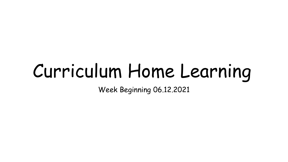# Curriculum Home Learning

Week Beginning 06.12.2021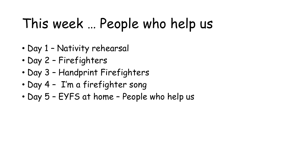## This week … People who help us

- Day 1 Nativity rehearsal
- Day 2 Firefighters
- Day 3 Handprint Firefighters
- Day 4 I'm a firefighter song
- Day 5 EYFS at home People who help us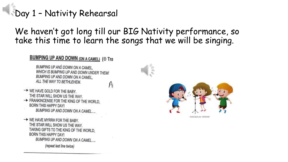### Day 1 – Nativity Rehearsal

#### We haven't got long till our BIG Nativity performance, so take this time to learn the songs that we will be singing.

#### **BUMPING UP AND DOWN (ON A CAMEL) (O Tra**

BUMPING UP AND DOWN ON A CAMEL. WHICH IS BUMPING UP AND DOWN UNDER THEM! BUMPING UP AND DOWN ON A CAMEL, ALL THE WAY TO BETHLEHEM.  $A$ 





- → WE HAVE GOLD FOR THE BABY. THE STAR WILL SHOW US THE WAY.
- FRANKINCENSE FOR THE KING OF THE WORLD, **BORN THIS HAPPY DAY!** BUMPING UP AND DOWN ON A CAMEL....
- → WE HAVE MYRRH FOR THE BABY. THE STAR WILL SHOW US THE WAY. TAKING GIFTS TO THE KING OF THE WORLD, **BORN THIS HAPPY DAY!** BUMPING UP AND DOWN ON A CAMEL....

(repeat last line twice)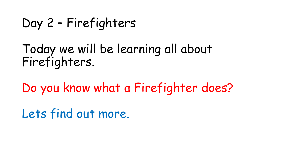#### Day 2 – Firefighters

Today we will be learning all about Firefighters.

Do you know what a Firefighter does?

Lets find out more.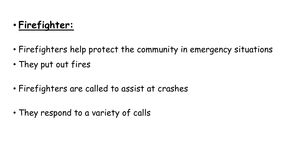#### • **Firefighter:**

- Firefighters help protect the community in emergency situations
- They put out fires
- Firefighters are called to assist at crashes
- They respond to a variety of calls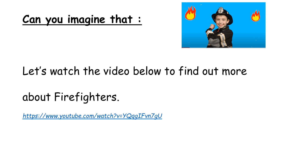#### **Can you imagine that :**



#### Let's watch the video below to find out more

#### about Firefighters.

*<https://www.youtube.com/watch?v=YQqgIFvn7gU>*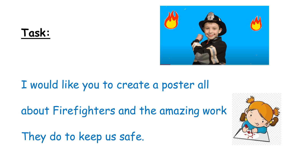



#### I would like you to create a poster all

about Firefighters and the amazing work

They do to keep us safe.

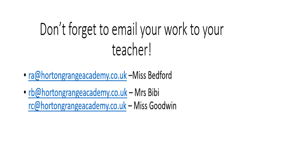# Don't forget to email your work to your teacher!

- ra@hortongrangeacademy.co.uk -Miss Bedford
- rb@hortongrangeacademy.co.uk Mrs Bibi rc@hortongrangeacademy.co.uk - Miss Goodwin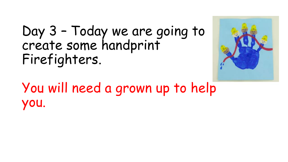## Day 3 – Today we are going to create some handprint Firefighters.



You will need a grown up to help you.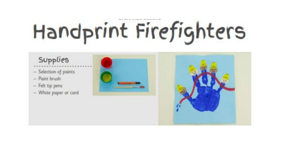# Handprint Firefighters

#### **Supplies**

- Selection of paints
- Paint brush
- Felt tip pens
- White paper or card



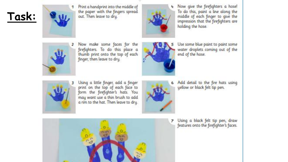#### Task:



Print a handprint into the middle of the paper with the fingers spread out. Then leave to dry.



Now give the firefighters a hose! To do this, paint a line along the middle of each finger to give the impression that the firefighters are holding the hose.



Now make some faces for the firefighters. To do this place a thumb print onto the top of each finger, then leave to dry.



Use some blue paint to paint some water droplets coming out of the end of the hose.



Using a little finger, add a finger print on the top of each face to form the firefighter's hats. You may want use a thin brush to add a rim to the hat. Then leave to dry.



Add detail to the fire hats using yellow or black felt tip pen.



Using a black felt tip pen, draw features onto the firefighter's faces.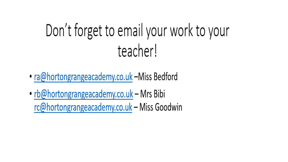# Don't forget to email your work to your teacher!

- ra@hortongrangeacademy.co.uk –Miss Bedford
- rb@hortongrangeacademy.co.uk Mrs Bibi rc@hortongrangeacademy.co.uk - Miss Goodwin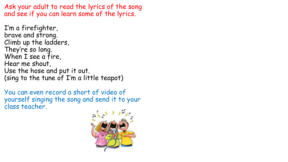Ask your adult to read the lyrics of the song and see if you can learn some of the lyrics.

I'm a firefighter, brave and strong. Climb up the ladders, They're so long. When I see a fire, Hear me shout, Use the hose and put it out. (sing to the tune of I'm a little teapot)

You can even record a short of video of yourself singing the song and send it to your class teacher.

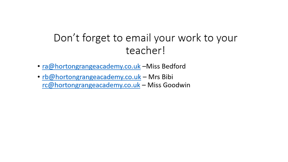#### Don't forget to email your work to your teacher!

- ra@hortongrangeacademy.co.uk -Miss Bedford
- rb@hortongrangeacademy.co.uk Mrs Bibi rc@hortongrangeacademy.co.uk - Miss Goodwin